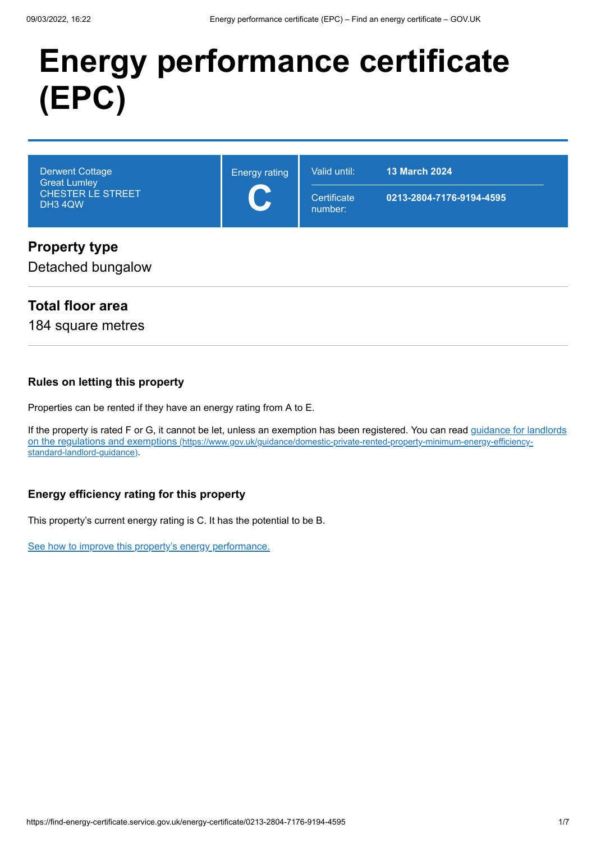# **Energy performance certificate (EPC)**

| <b>Derwent Cottage</b><br><b>Great Lumley</b><br><b>CHESTER LE STREET</b><br>DH3 4QW | <b>Energy rating</b><br>$\blacktriangleright$<br>$\blacktriangleright$ | Valid until:<br>Certificate<br>number: | <b>13 March 2024</b><br>0213-2804-7176-9194-4595 |
|--------------------------------------------------------------------------------------|------------------------------------------------------------------------|----------------------------------------|--------------------------------------------------|
| <b>Property type</b>                                                                 |                                                                        |                                        |                                                  |

Detached bungalow

#### **Total floor area**

184 square metres

#### **Rules on letting this property**

Properties can be rented if they have an energy rating from A to E.

[If the property is rated F or G, it cannot be let, unless an exemption has been registered. You can read guidance for landlords](https://www.gov.uk/guidance/domestic-private-rented-property-minimum-energy-efficiency-standard-landlord-guidance) on the regulations and exemptions (https://www.gov.uk/guidance/domestic-private-rented-property-minimum-energy-efficiencystandard-landlord-guidance).

#### **Energy efficiency rating for this property**

This property's current energy rating is C. It has the potential to be B.

[See how to improve this property's energy performance.](#page-3-0)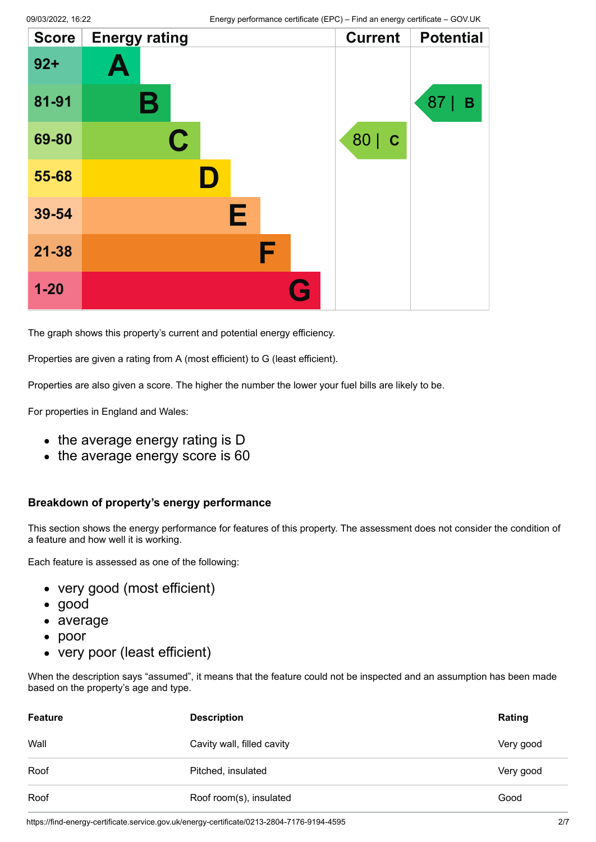| <b>Score</b> | <b>Energy rating</b> | <b>Current</b>      | <b>Potential</b> |
|--------------|----------------------|---------------------|------------------|
| $92 +$       | A                    |                     |                  |
| 81-91        | Β                    |                     | 87<br>в          |
| 69-80        | $\mathbf C$          | 80  <br>$\mathbf C$ |                  |
| 55-68        | $\blacksquare$       |                     |                  |
| 39-54        | Е                    |                     |                  |
| $21 - 38$    | F                    |                     |                  |
| $1 - 20$     | G                    |                     |                  |

The graph shows this property's current and potential energy efficiency.

Properties are given a rating from A (most efficient) to G (least efficient).

Properties are also given a score. The higher the number the lower your fuel bills are likely to be.

For properties in England and Wales:

- the average energy rating is D
- the average energy score is 60

#### **Breakdown of property's energy performance**

This section shows the energy performance for features of this property. The assessment does not consider the condition of a feature and how well it is working.

Each feature is assessed as one of the following:

- very good (most efficient)
- good
- average
- poor
- very poor (least efficient)

When the description says "assumed", it means that the feature could not be inspected and an assumption has been made based on the property's age and type.

| <b>Feature</b> | <b>Description</b>         | Rating    |
|----------------|----------------------------|-----------|
| Wall           | Cavity wall, filled cavity | Very good |
| Roof           | Pitched, insulated         | Very good |
| Roof           | Roof room(s), insulated    | Good      |

https://find-energy-certificate.service.gov.uk/energy-certificate/0213-2804-7176-9194-4595 2/7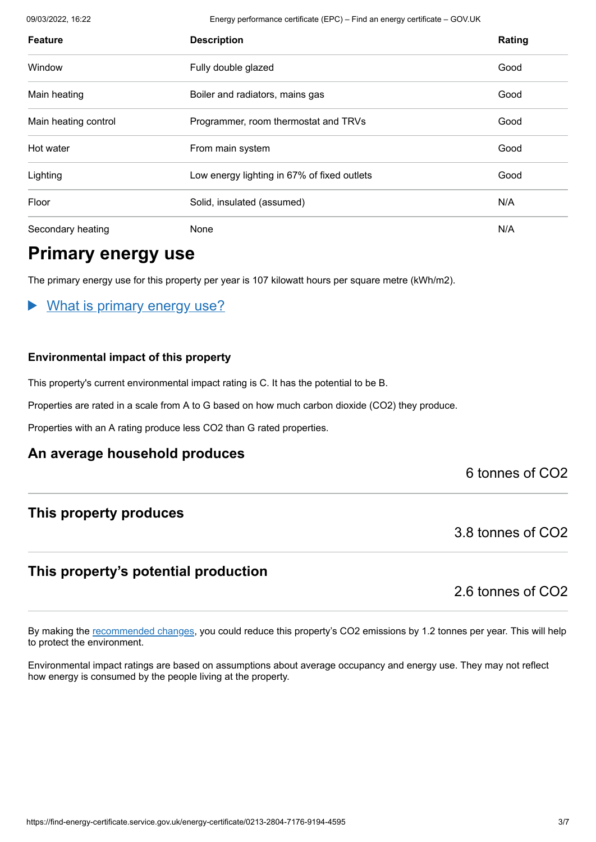09/03/2022, 16:22 Energy performance certificate (EPC) – Find an energy certificate – GOV.UK

| <b>Feature</b>       | <b>Description</b>                          | Rating |
|----------------------|---------------------------------------------|--------|
| Window               | Fully double glazed                         | Good   |
| Main heating         | Boiler and radiators, mains gas             | Good   |
| Main heating control | Programmer, room thermostat and TRVs        | Good   |
| Hot water            | From main system                            | Good   |
| Lighting             | Low energy lighting in 67% of fixed outlets | Good   |
| Floor                | Solid, insulated (assumed)                  | N/A    |
| Secondary heating    | None                                        | N/A    |

# **Primary energy use**

The primary energy use for this property per year is 107 kilowatt hours per square metre (kWh/m2).

#### What is primary energy use?

#### **Environmental impact of this property**

This property's current environmental impact rating is C. It has the potential to be B.

Properties are rated in a scale from A to G based on how much carbon dioxide (CO2) they produce.

Properties with an A rating produce less CO2 than G rated properties.

#### **An average household produces**

#### 6 tonnes of CO2

#### **This property produces**

3.8 tonnes of CO2

#### **This property's potential production**

2.6 tonnes of CO2

By making the [recommended changes](#page-3-0), you could reduce this property's CO2 emissions by 1.2 tonnes per year. This will help to protect the environment.

Environmental impact ratings are based on assumptions about average occupancy and energy use. They may not reflect how energy is consumed by the people living at the property.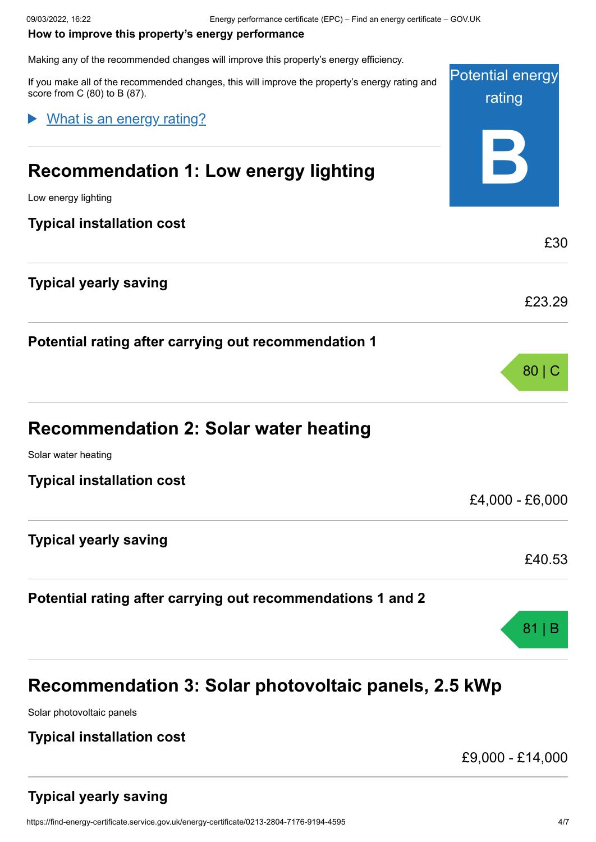#### <span id="page-3-0"></span>**How to improve this property's energy performance**

Making any of the recommended changes will improve this property's energy efficiency.

Potential energy rating **B** If you make all of the recommended changes, this will improve the property's energy rating and score from C (80) to B (87). **Recommendation 1: Low energy lighting** Low energy lighting **Typical installation cost** £30 **Typical yearly saving** £23.29 **Potential rating after carrying out recommendation 1** 80 | C **Recommendation 2: Solar water heating** Solar water heating **Typical installation cost** £4,000 - £6,000 **Typical yearly saving** £40.53 **Potential rating after carrying out recommendations 1 and 2** 81 | B What is an energy rating?

# **Recommendation 3: Solar photovoltaic panels, 2.5 kWp**

Solar photovoltaic panels

#### **Typical installation cost**

£9,000 - £14,000

## **Typical yearly saving**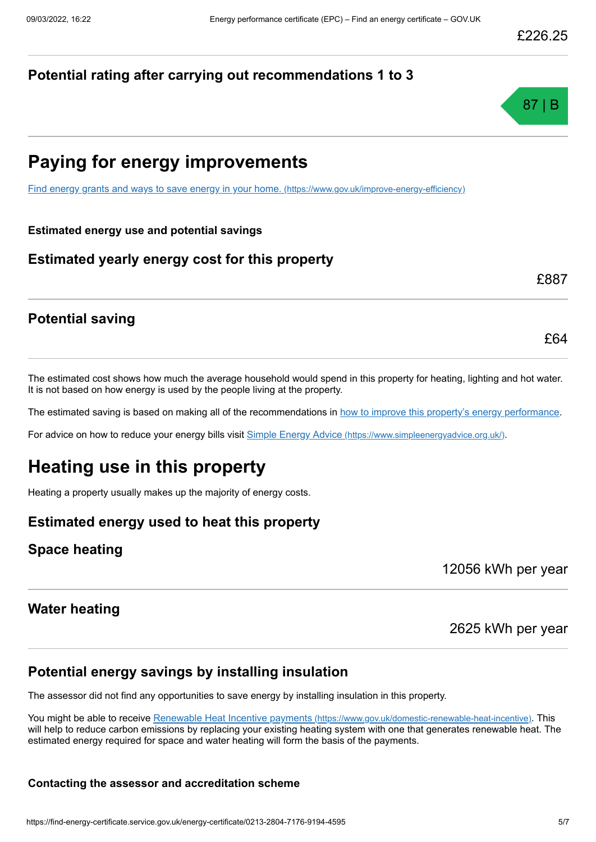#### **Potential rating after carrying out recommendations 1 to 3**



# **Paying for energy improvements**

[Find energy grants and ways to save energy in your home.](https://www.gov.uk/improve-energy-efficiency) (https://www.gov.uk/improve-energy-efficiency)

**Estimated energy use and potential savings**

#### **Estimated yearly energy cost for this property**

£887

£64

#### **Potential saving**

The estimated cost shows how much the average household would spend in this property for heating, lighting and hot water. It is not based on how energy is used by the people living at the property.

The estimated saving is based on making all of the recommendations in [how to improve this property's energy performance.](#page-3-0)

For advice on how to reduce your energy bills visit Simple Energy Advice [\(https://www.simpleenergyadvice.org.uk/\)](https://www.simpleenergyadvice.org.uk/).

# **Heating use in this property**

Heating a property usually makes up the majority of energy costs.

#### **Estimated energy used to heat this property**

#### **Space heating**

12056 kWh per year

#### **Water heating**

2625 kWh per year

#### **Potential energy savings by installing insulation**

The assessor did not find any opportunities to save energy by installing insulation in this property.

You might be able to receive Renewable Heat Incentive payments [\(https://www.gov.uk/domestic-renewable-heat-incentive\)](https://www.gov.uk/domestic-renewable-heat-incentive). This will help to reduce carbon emissions by replacing your existing heating system with one that generates renewable heat. The estimated energy required for space and water heating will form the basis of the payments.

#### **Contacting the assessor and accreditation scheme**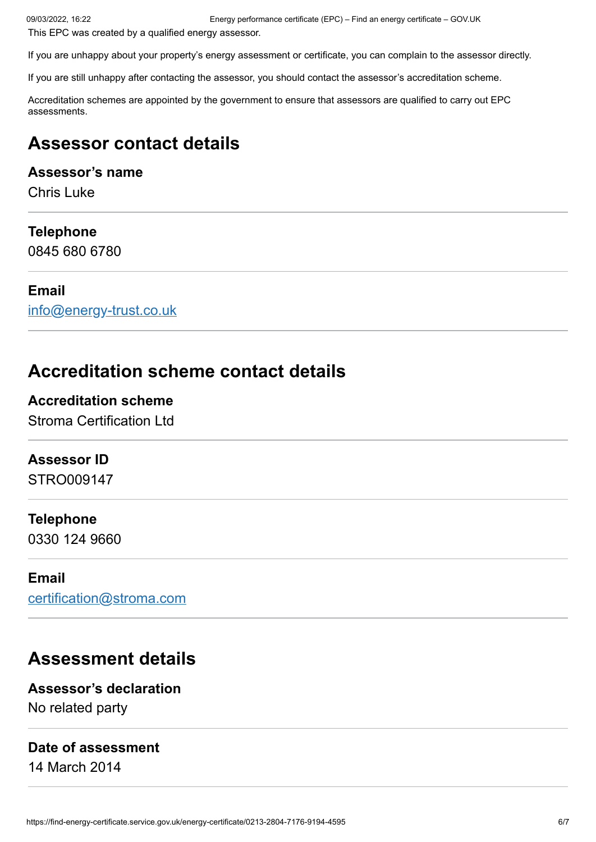This EPC was created by a qualified energy assessor.

If you are unhappy about your property's energy assessment or certificate, you can complain to the assessor directly.

If you are still unhappy after contacting the assessor, you should contact the assessor's accreditation scheme.

Accreditation schemes are appointed by the government to ensure that assessors are qualified to carry out EPC assessments.

# **Assessor contact details**

#### **Assessor's name**

Chris Luke

#### **Telephone**

0845 680 6780

#### **Email**

[info@energy-trust.co.uk](mailto:info@energy-trust.co.uk)

# **Accreditation scheme contact details**

#### **Accreditation scheme**

Stroma Certification Ltd

#### **Assessor ID**

STRO009147

#### **Telephone**

0330 124 9660

#### **Email**

[certification@stroma.com](mailto:certification@stroma.com)

# **Assessment details**

**Assessor's declaration** No related party

#### **Date of assessment**

14 March 2014